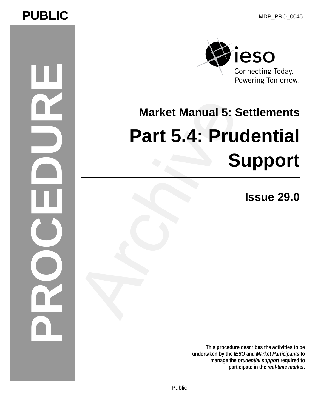# PUBLIC MDP\_PRO\_0045

# **PROCEDURE**



# **Market Manual 5: Settlements Part 5.4: Prudential Support** Market Manual 5: S<br>Part 5.4: Pru<br>S

**Issue 29.0**

**This procedure describes the activities to be undertaken by the** *IESO* **and** *Market Participants* **to manage the** *prudential support* **required to**  participate in the *real-time market*.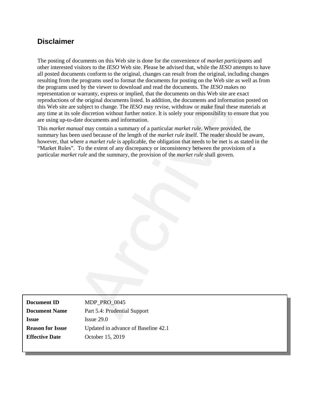#### **Disclaimer**

The posting of documents on this Web site is done for the convenience of *market participants* and other interested visitors to the *IESO* Web site. Please be advised that, while the *IESO* attempts to have all posted documents conform to the original, changes can result from the original, including changes resulting from the programs used to format the documents for posting on the Web site as well as from the programs used by the viewer to download and read the documents. The *IESO* makes no representation or warranty, express or implied, that the documents on this Web site are exact reproductions of the original documents listed. In addition, the documents and information posted on this Web site are subject to change. The *IESO* may revise, withdraw or make final these materials at any time at its sole discretion without further notice. It is solely your responsibility to ensure that you are using up-to-date documents and information.

This *market manual* may contain a summary of a particular *market rule*. Where provided, the summary has been used because of the length of the *market rule* itself. The reader should be aware, however, that where a *market rule* is applicable, the obligation that needs to be met is as stated in the "Market Rules". To the extent of any discrepancy or inconsistency between the provisions of a particular *market rule* and the summary, the provision of the *market rule* shall govern. the original documents listed. In addition, the documents and information-<br>subject to change. The *ESSO* may revise, withdraw or make final these<br>dial the discretion without further notice. It is solely your responsibility

**Document ID** MDP\_PRO\_0045 **Document Name** Part 5.4: Prudential Support **Issue** Issue 29.0 **Reason for Issue** Updated in advance of Baseline 42.1 **Effective Date** October 15, 2019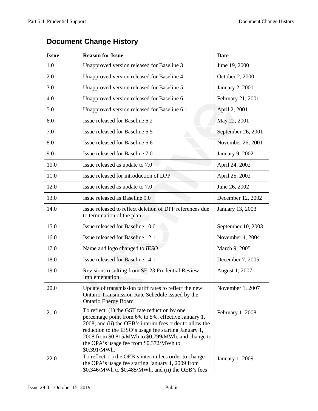| <b>Issue</b> | <b>Reason for Issue</b>                                                                                                                                                                                                                                                                                                                        | <b>Date</b>            |
|--------------|------------------------------------------------------------------------------------------------------------------------------------------------------------------------------------------------------------------------------------------------------------------------------------------------------------------------------------------------|------------------------|
| 1.0          | Unapproved version released for Baseline 3                                                                                                                                                                                                                                                                                                     | June 19, 2000          |
| 2.0          | Unapproved version released for Baseline 4<br>October 2, 2000                                                                                                                                                                                                                                                                                  |                        |
| 3.0          | Unapproved version released for Baseline 5                                                                                                                                                                                                                                                                                                     | January 2, 2001        |
| 4.0          | Unapproved version released for Baseline 6                                                                                                                                                                                                                                                                                                     | February 21, 2001      |
| 5.0          | Unapproved version released for Baseline 6.1                                                                                                                                                                                                                                                                                                   | April 2, 2001          |
| 6.0          | Issue released for Baseline 6.2                                                                                                                                                                                                                                                                                                                | May 22, 2001           |
| 7.0          | Issue released for Baseline 6.5                                                                                                                                                                                                                                                                                                                | September 26, 2001     |
| 8.0          | Issue released for Baseline 6.6                                                                                                                                                                                                                                                                                                                | November 26, 2001      |
| 9.0          | Issue released for Baseline 7.0                                                                                                                                                                                                                                                                                                                | <b>January 9, 2002</b> |
| 10.0         | Issue released as update to 7.0                                                                                                                                                                                                                                                                                                                | April 24, 2002         |
| 11.0         | Issue released for introduction of DPP                                                                                                                                                                                                                                                                                                         | April 25, 2002         |
| 12.0         | June 26, 2002<br>Issue released as update to 7.0                                                                                                                                                                                                                                                                                               |                        |
| 13.0         | Issue released as Baseline 9.0                                                                                                                                                                                                                                                                                                                 | December 12, 2002      |
| 14.0         | Issue released to reflect deletion of DPP references due<br>January 13, 2003<br>to termination of the plan.                                                                                                                                                                                                                                    |                        |
| 15.0         | Issue released for Baseline 10.0                                                                                                                                                                                                                                                                                                               | September 10, 2003     |
| 16.0         | Issue released for Baseline 12.1                                                                                                                                                                                                                                                                                                               | November 4, 2004       |
| 17.0         | Name and logo changed to IESO                                                                                                                                                                                                                                                                                                                  | March 9, 2005          |
| 18.0         | Issue released for Baseline 14.1                                                                                                                                                                                                                                                                                                               | December 7, 2005       |
| 19.0         | Revisions resulting from SE-23 Prudential Review<br>Implementation                                                                                                                                                                                                                                                                             | August 1, 2007         |
| 20.0         | Update of transmission tariff rates to reflect the new<br>Ontario Transmission Rate Schedule issued by the<br><b>Ontario Energy Board</b>                                                                                                                                                                                                      | November 1, 2007       |
| 21.0         | To reflect: $(1)$ the GST rate reduction by one<br>percentage point from 6% to 5%, effective January 1,<br>2008; and (ii) the OEB's interim fees order to allow the<br>reduction to the IESO's usage fee starting January 1,<br>2008 from \$0.815/MWh to \$0.799/MWh, and change to<br>the OPA's usage fee from \$0.372/MWh to<br>\$0.391/MWh. | February 1, 2008       |
| 22.0         | To reflect: (i) the OEB's interim fees order to change<br>the OPA's usage fee starting January 1, 2009 from<br>\$0.346/MWh to \$0.485/MWh, and (ii) the OEB's fees                                                                                                                                                                             | January 1, 2009        |

#### **Document Change History**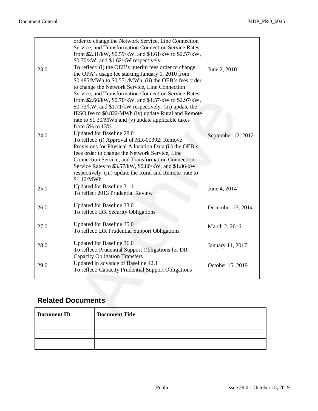|                          | order to change the Network Service, Line Connection<br>Service, and Transformation Connection Service Rates           |                                                                                                                                                                                                                                                                                                                                                                                                                                                                                                                   |                    |
|--------------------------|------------------------------------------------------------------------------------------------------------------------|-------------------------------------------------------------------------------------------------------------------------------------------------------------------------------------------------------------------------------------------------------------------------------------------------------------------------------------------------------------------------------------------------------------------------------------------------------------------------------------------------------------------|--------------------|
|                          |                                                                                                                        | from \$2.31/kW, \$0.59/kW, and \$1.61/kW to \$2.57/kW,<br>\$0.70/kW, and \$1.62/kW respectively.                                                                                                                                                                                                                                                                                                                                                                                                                  |                    |
| 23.0                     |                                                                                                                        | To reflect: (i) the OEB's interim fees order to change<br>the OPA's usage fee starting January 1, 2010 from<br>\$0.485/MWh to \$0.551/MWh, (ii) the OEB's fees order<br>to change the Network Service, Line Connection<br>Service, and Transformation Connection Service Rates<br>from \$2.66/kW, \$0.70/kW, and \$1.57/kW to \$2.97/kW,<br>\$0.73/kW, and \$1.71/kW respectively. (iii) update the<br>IESO fee to \$0.822/MWh (iv) update Rural and Remote<br>rate to \$1.30/MWh and (v) update applicable taxes | June 2, 2010       |
| 24.0                     | from 5% to 13%.<br>\$1.10/MWh                                                                                          | Updated for Baseline 28.0<br>To reflect: (i) Approval of MR-00392: Remove<br>Provisions for Physical Allocation Data (ii) the OEB's<br>fees order to change the Network Service, Line<br>Connection Service, and Transformation Connection<br>Service Rates to \$3.57/kW, \$0.80/kW, and \$1.86/kW<br>respectively. (iii) update the Rural and Remote rate to                                                                                                                                                     | September 12, 2012 |
| 25.0                     |                                                                                                                        | Updated for Baseline 31.1<br>To reflect 2013 Prudential Review                                                                                                                                                                                                                                                                                                                                                                                                                                                    | June 4, 2014       |
| 26.0                     |                                                                                                                        | Updated for Baseline 33.0<br>To reflect: DR Security Obligations                                                                                                                                                                                                                                                                                                                                                                                                                                                  | December 15, 2014  |
| 27.0                     |                                                                                                                        | Updated for Baseline 35.0<br>To reflect: DR Prudential Support Obligations                                                                                                                                                                                                                                                                                                                                                                                                                                        | March 2, 2016      |
| 28.0                     | Updated for Baseline 36.0<br>To reflect: Prudential Support Obligations for DR<br><b>Capacity Obligation Transfers</b> |                                                                                                                                                                                                                                                                                                                                                                                                                                                                                                                   | January 11, 2017   |
| 29.0                     | Updated in advance of Baseline 42.1<br>To reflect: Capacity Prudential Support Obligations                             |                                                                                                                                                                                                                                                                                                                                                                                                                                                                                                                   | October 15, 2019   |
|                          |                                                                                                                        |                                                                                                                                                                                                                                                                                                                                                                                                                                                                                                                   |                    |
| <b>Related Documents</b> |                                                                                                                        |                                                                                                                                                                                                                                                                                                                                                                                                                                                                                                                   |                    |
| <b>Document ID</b>       |                                                                                                                        | <b>Document Title</b>                                                                                                                                                                                                                                                                                                                                                                                                                                                                                             |                    |

#### **Related Documents**

| <b>Document ID</b> | <b>Document Title</b> |
|--------------------|-----------------------|
|                    |                       |
|                    |                       |
|                    |                       |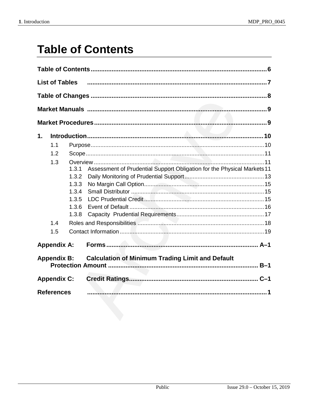# **Table of Contents**

|    | <b>List of Tables</b> |       |                                                                         |  |
|----|-----------------------|-------|-------------------------------------------------------------------------|--|
|    |                       |       |                                                                         |  |
|    |                       |       |                                                                         |  |
|    |                       |       |                                                                         |  |
| 1. |                       |       |                                                                         |  |
|    | 1.1                   |       |                                                                         |  |
|    | 1.2                   |       |                                                                         |  |
|    | 1.3                   |       |                                                                         |  |
|    |                       | 1.3.1 | Assessment of Prudential Support Obligation for the Physical Markets 11 |  |
|    |                       | 1.3.2 |                                                                         |  |
|    |                       | 1.3.3 |                                                                         |  |
|    |                       | 1.3.4 |                                                                         |  |
|    |                       | 1.3.5 |                                                                         |  |
|    |                       | 1.3.6 |                                                                         |  |
|    |                       | 1.3.8 |                                                                         |  |
|    | 1.4                   |       |                                                                         |  |
|    | 1.5                   |       |                                                                         |  |
|    | <b>Appendix A:</b>    |       |                                                                         |  |
|    | <b>Appendix B:</b>    |       | <b>Calculation of Minimum Trading Limit and Default</b>                 |  |
|    | <b>Appendix C:</b>    |       |                                                                         |  |
|    | <b>References</b>     |       |                                                                         |  |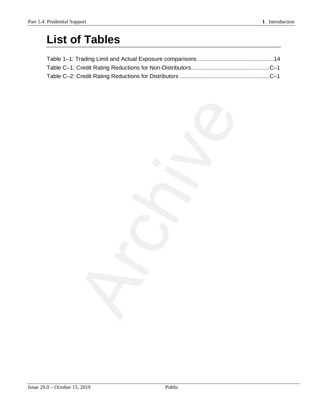# **List of Tables**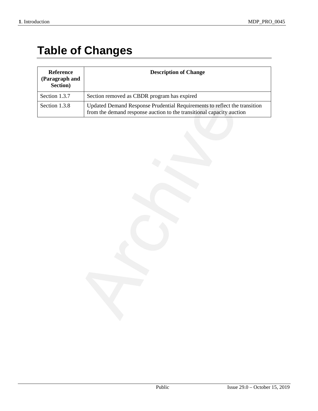# **Table of Changes**

| Reference<br>(Paragraph and<br>Section) | <b>Description of Change</b>                                                                                                                       |
|-----------------------------------------|----------------------------------------------------------------------------------------------------------------------------------------------------|
| Section 1.3.7                           | Section removed as CBDR program has expired                                                                                                        |
| Section 1.3.8                           | Updated Demand Response Prudential Requirements to reflect the transition<br>from the demand response auction to the transitional capacity auction |
|                                         |                                                                                                                                                    |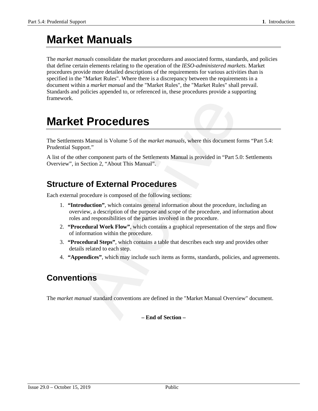# **Market Manuals**

The *market manuals* consolidate the market procedures and associated forms, standards, and policies that define certain elements relating to the operation of the *IESO-administered markets*. Market procedures provide more detailed descriptions of the requirements for various activities than is specified in the "Market Rules". Where there is a discrepancy between the requirements in a document within a *market manual* and the "Market Rules", the "Market Rules" shall prevail. Standards and policies appended to, or referenced in, these procedures provide a supporting framework.

### **Market Procedures**

The Settlements Manual is Volume 5 of the *market manuals*, where this document forms "Part 5.4: Prudential Support."

A list of the other component parts of the Settlements Manual is provided in "Part 5.0: Settlements Overview", in Section 2, "About This Manual".

#### **Structure of External Procedures**

Each external procedure is composed of the following sections:

- 1. **"Introduction"**, which contains general information about the procedure, including an overview, a description of the purpose and scope of the procedure, and information about roles and responsibilities of the parties involved in the procedure. **Example 18 Fronting Section**<br>
2 **Proceedures**<br>
2 **Proceedures**<br>
2 **Proceedure** is of the *Settlements Manual is provided in "Part 5*.<br>
2 **Procedure is composed of the following sections:**<br>
2 **Procedure is composed of the**
- 2. **"Procedural Work Flow"**, which contains a graphical representation of the steps and flow of information within the procedure.
- 3. **"Procedural Steps"**, which contains a table that describes each step and provides other details related to each step.
- 4. **"Appendices"**, which may include such items as forms, standards, policies, and agreements.

#### **Conventions**

The *market manual* standard conventions are defined in the "Market Manual Overview" document.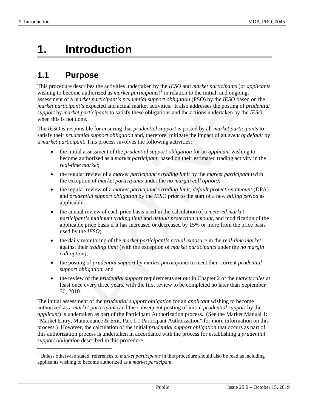$\overline{a}$ 

# **1. Introduction**

#### **1.1 Purpose**

This procedure describes the activities undertaken by the *IESO* and *market participants* (or *applicant*s wishing to become authorized as *market participants*<sup>[1](#page-8-0)</sup> in relation to the initial, and ongoing, assessment of a *market participant's prudential support obligation* (PSO) by the *IESO* based on the *market participant's* expected and actual market activities. It also addresses the posting of *prudential support* by *market participants* to satisfy these obligations and the actions undertaken by the *IESO* when this is not done.

The *IESO* is responsible for ensuring that *prudential support* is posted by all *market participants* to satisfy their *prudential support obligation* and, therefore, mitigate the impact of an *event of default* by a *market participant.* This process involves the following activities:

- the initial assessment of the *prudential support obligation* for an *applicant* wishing to become authorized as a *market participant*, based on their estimated trading activity in the *real-time market*;
- the regular review of a *market participant's trading limit* by the *market participant* (with the exception of *market participants* under the *no margin call option)*;
- the regular review of a *market participant's trading limit*, *default protection amount* (DPA) and *prudential support obligation* by the *IESO* prior to the start of a new *billing period* as applicable;
- the annual review of each price basis used in the calculation of a *metered market participant's minimum trading limit* and *default protection amount*, and modification of the applicable price basis if it has increased or decreased by 15% or more from the price basis used by the *IESO*; market participant's prudential support obligation (PSO) by the *EESO* the market participants of this expected and actual market activities. It also aldresses the positing *et participants* to satisfy these obligations an
- the daily monitoring of the *market participant's actual exposure* in the *real-time market* against their *trading limit* (with the exception of *market participants* under the *no margin call option)*;
- the posting of *prudential support* by *market participants* to meet their current *prudential support obligation*; and
- the review of the *prudential support* requirements set out in Chapter 2 of the *market rules* at least once every three years, with the first review to be completed no later than September 30, 2010.

The initial assessment of the *prudential support obligation* for an *applicant* wishing to become authorized as a *market participant* (and the subsequent posting of initial *prudential support* by the *applicant*) is undertaken as part of the Participant Authorization process. (See the Market Manual 1: "Market Entry, Maintenance & Exit, Part 1.1 Participant Authorization" for more information on this process.) However, the calculation of the initial *prudential support obligation* that occurs as part of this authorization process is undertaken in accordance with the process for establishing a *prudential support obligation* described in this procedure.

<span id="page-8-0"></span><sup>&</sup>lt;sup>1</sup> Unless otherwise stated, references to *market participants* in this procedure should also be read as including applicants wishing to become authorized as a *market participant*.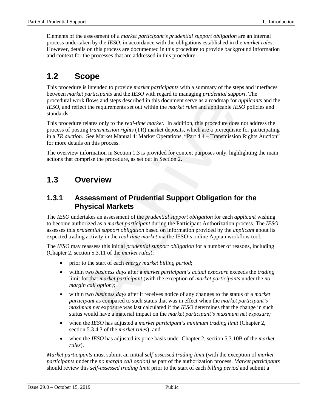Elements of the assessment of a *market participant's prudential support obligation* are an internal process undertaken by the *IESO*, in accordance with the obligations established in the *market rules*. However, details on this process are documented in this procedure to provide background information and context for the processes that are addressed in this procedure.

#### **1.2 Scope**

This procedure is intended to provide *market participants* with a summary of the steps and interfaces between *market participants* and the *IESO* with regard to managing *prudential support*. The procedural work flows and steps described in this document serve as a roadmap for *applicant*s and the *IESO*, and reflect the requirements set out within the *market rules* and applicable *IESO* policies and standards.

This procedure relates only to the *real-time market*. In addition, this procedure does not address the process of posting *transmission rights* (TR) market deposits, which are a prerequisite for participating in a *TR auction*. See Market Manual 4: Market Operations, "Part 4.4 – Transmission Rights Auction" for more details on this process.

The overview information in Section 1.3 is provided for context purposes only, highlighting the main actions that comprise the procedure, as set out in Section 2.

#### **1.3 Overview**

#### **1.3.1 Assessment of Prudential Support Obligation for the Physical Markets**

The *IESO* undertakes an assessment of the *prudential support obligation* for each *applicant* wishing to become authorized as a *market participant* during the Participant Authorization process. The *IESO* assesses this *prudential support obligation* based on information provided by the *applicant* about its expected trading activity in the *real-time market* via the IESO's online Appian workflow tool. Fraction and steps described in this document serve as a roadmap for<br>the flect the requirements set out within the *market rules* and applicable *IE*.<br>In the market rules and applicable *IE*.<br>In the market rules and applic

The *IESO* may reassess this initial *prudential support obligation* for a number of reasons, including (Chapter 2, section 5.3.11 of the *market rules*):

- prior to the start of each *energy market billing period*;
- within two *business days* after a *market participant's actual exposure* exceeds the *trading*  limit for that *market participant* (with the exception of *market participants* under the *no margin call option);*
- within two *business days* after it receives notice of any changes to the status of a *market participant* as compared to such status that was in effect when the *market participant's maximum net* exposure was last calculated if the *IESO* determines that the change in such status would have a material impact on the *market participant's maximum net exposure;*
- when the *IESO* has adjusted a *market participant's minimum trading limit* (Chapter 2, section 5.3.4.3 of the *market rules*); and
- when the *IESO* has adjusted its price basis under Chapter 2, section 5.3.10B of the *market rules*).

*Market participants* must submit an initial *self-assessed trading limit* (with the exception of *market participants* under the *no margin call option)* as part of the authorization process. *Market participants* should review this *self-assessed trading limit* prior to the start of each *billing period* and submit a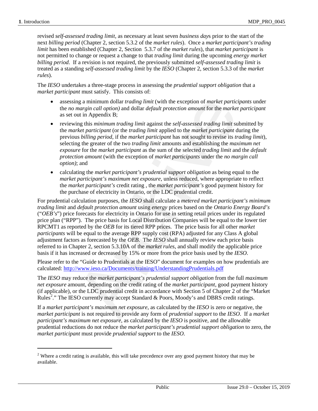$\overline{a}$ 

revised *self-assessed trading limit*, as necessary at least seven *business day*s prior to the start of the next *billing period* (Chapter 2, section 5.3.2 of the *market rules*). Once a *market participant's trading limit* has been established (Chapter 2, Section 5.3.7 of the *market rules*), that *market participant* is not permitted to change or request a change to that *trading limit* during the upcoming *energy market billing period*. If a revision is not required, the previously submitted *self-assessed trading limit* is treated as a standing *self-assessed trading limit* by the *IESO* (Chapter 2, section 5.3.3 of the *market rules*).

The *IESO* undertakes a three-stage process in assessing the *prudential support obligation* that a *market participant* must satisfy. This consists of:

- assessing a minimum dollar *trading limit* (with the exception of *market participants* under the *no margin call option)* and dollar *default protection amount* for the *market participant* as set out in Appendix B;
- reviewing this *minimum trading limit* against the *self-assessed trading limit* submitted by the *market participant* (or the *trading limit* applied to the *market participant* during the previous *billing period*, if the *market participant* has not sought to revise its *trading limit*), selecting the greater of the two *trading limit* amounts and establishing the *maximum net exposure* for the *market participant* as the sum of the selected *trading limit* and the *default protection amount* (with the exception of *market participants* under the *no margin call option)*; and
- calculating the *market participant's prudential support obligation* as being equal to the *market participant's maximum net exposure*, unless reduced, where appropriate to reflect the *market participant's* credit rating , the *market participant's* good payment history for the purchase of electricity in Ontario, or the LDC prudential credit.

For prudential calculation purposes, the *IESO* shall calculate a *metered market participant's minimum trading limit* and *default protection amount* using *energy* prices based on the *Ontario Energy Board's* ("*OEB's*") price forecasts for electricity in Ontario for use in setting retail prices under its regulated price plan ("RPP"). The price basis for Local Distribution Companies will be equal to the lower tier RPCMT1 as reported by the *OEB* for its tiered RPP prices. The price basis for all other *market participants* will be equal to the average RPP supply cost (RPA) adjusted for any Class A global adjustment factors as forecasted by the *OEB*. The *IESO* shall annually review each price basis referred to in Chapter 2, section 5.3.10A of the *market rules*, and shall modify the applicable price basis if it has increased or decreased by 15% or more from the price basis used by the *IESO*. mg a minimum dollar *rading limit* (with the exception of *market particiala* margin call option) and dollar default protection amount for the market participant is high this minimum trading limit against the self-assesse

Please refer to the "Guide to Prudentials at the IESO" document for examples on how prudentials are calculated: http://www.ieso.ca/Documents/training/UnderstandingPrudentials.pdf

The *IESO* may reduce the *market participant's prudential support obligation* from the full *maximum net exposure* amount, depending on the credit rating of the *market participant,* good payment history (if applicable), or the LDC prudential credit in accordance with Section 5 of Chapter 2 of the "Market Rules<sup>[2](#page-10-0)</sup>." The IESO currently may accept Standard & Poors, Moody's and DBRS credit ratings.

If a *market participant's maximum net exposure*, as calculated by the *IESO* is zero or negative, the *market participant* is not required to provide any form of *prudential support* to the *IESO*. If a *market participant's maximum net exposure*, as calculated by the *IESO* is positive, and the allowable prudential reductions do not reduce the *market participant's prudential support obligation* to zero, the *market participant* must provide *prudential support* to the *IESO*.

<span id="page-10-0"></span><sup>&</sup>lt;sup>2</sup> Where a credit rating is available, this will take precedence over any good payment history that may be available.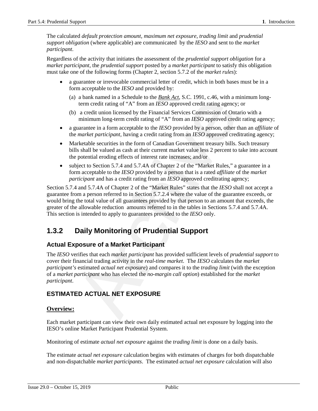The calculated *default protection amount, maximum net exposure*, *trading limit* and *prudential support obligation* (where applicable) are communicated by the *IESO* and sent to the *market participant*.

Regardless of the activity that initiates the assessment of the *prudential support obligation* for a *market participant*, the *prudential support* posted by a *market participant* to satisfy this obligation must take one of the following forms (Chapter 2, section 5.7.2 of the *market rules*):

- a guarantee or irrevocable commercial letter of credit, which in both bases must be in a form acceptable to the *IESO* and provided by:
	- (a) a bank named in a Schedule to the *Bank Act*, S.C. 1991, c.46, with a minimum longterm credit rating of "A" from an *IESO* approved credit rating agency; or
	- (b) a credit union licensed by the Financial Services Commission of Ontario with a minimum long-term credit rating of "A" from an *IESO* approved credit rating agency;
- a guarantee in a form acceptable to the *IESO* provided by a person, other than an *affiliate* of the *market participant*, having a credit rating from an *IESO* approved creditrating agency;
- Marketable securities in the form of Canadian Government treasury bills. Such treasury bills shall be valued as cash at their current market value less 2 percent to take into account the potential eroding effects of interest rate increases; and/or
- subject to Section 5.7.4 and 5.7.4A of Chapter 2 of the "Market Rules," a guarantee in a form acceptable to the *IESO* provided by a person that is a rated *affiliate* of the *market participant* and has a credit rating from an *IESO* approved creditrating agency;

Section 5.7.4 and 5.7.4A of Chapter 2 of the "Market Rules" states that the *IESO* shall not accept a guarantee from a person referred to in Section 5.7.2.4 where the value of the guarantee exceeds, or would bring the total value of all guarantees provided by that person to an amount that exceeds, the greater of the allowable reduction amounts referred to in the tables in Sections 5.7.4 and 5.7.4A. This section is intended to apply to guarantees provided to the *IESO* only.

#### **1.3.2 Daily Monitoring of Prudential Support**

#### **Actual Exposure of a Market Participant**

The *IESO* verifies that each *market participant* has provided sufficient levels of *prudential support* to cover their financial trading activity in the *real-time market*. The *IESO* calculates the *market participant's* estimated *actual net exposure*) and compares it to the *trading limit* (with the exception of a *market participant* who has elected the *no-margin call option*) established for the *market participant*. a can standard man scheme to one *buttos* Archivated. Such youth a them and the medit rating of "A" from an *IESO* approved credit rating agency; a credit union licensed by the Financial Services Commission of Onta minimu

#### **ESTIMATED ACTUAL NET EXPOSURE**

#### **Overview:**

Each market participant can view their own daily estimated actual net exposure by logging into the IESO's online Market Participant Prudential System.

Monitoring of estimate *actual net exposure* against the *trading limit* is done on a daily basis.

The estimate *actual net exposure* calculation begins with estimates of charges for both dispatchable and non-dispatchable *market participants*. The estimated *actual net exposure* calculation will also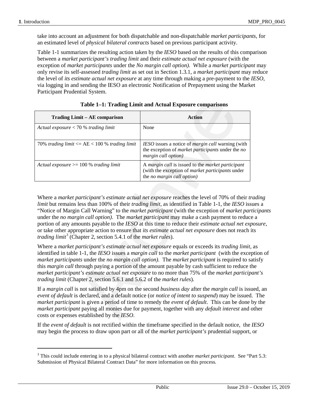$\overline{a}$ 

take into account an adjustment for both dispatchable and non-dispatchable *market participants*, for an estimated level of *physical bilateral contracts* based on previous participant activity.

Table 1-1 summarizes the resulting action taken by the *IESO* based on the results of this comparison between a *market participant's trading limit* and their *estimate actual net exposure* (with the exception of *market participants* under the *No margin call option).* While a *market participant* may only revise its self-assessed *trading limit* as set out in Section 1.3.1, a *market participant* may reduce the level of *its estimate actual net exposure* at any time through making a pre-payment to the *IESO*, via logging in and sending the IESO an electronic Notification of Prepayment using the Market Participant Prudential System.

| Trading Limit - AE comparison                                                                          | <b>Action</b>                                                                                                                                                                                                                                                                                                                                                                                                                                                                                                                                                                                                      |
|--------------------------------------------------------------------------------------------------------|--------------------------------------------------------------------------------------------------------------------------------------------------------------------------------------------------------------------------------------------------------------------------------------------------------------------------------------------------------------------------------------------------------------------------------------------------------------------------------------------------------------------------------------------------------------------------------------------------------------------|
| Actual exposure $< 70 %$ trading limit                                                                 | None                                                                                                                                                                                                                                                                                                                                                                                                                                                                                                                                                                                                               |
| 70% trading limit $\langle = A E \langle 100 \rangle$ trading limit                                    | IESO issues a notice of <i>margin call</i> warning (with<br>the exception of <i>market participants</i> under the no<br>margin call option)                                                                                                                                                                                                                                                                                                                                                                                                                                                                        |
| Actual exposure $\geq$ 100 % trading limit                                                             | A margin call is issued to the market participant<br>(with the exception of market participants under<br>the no margin call option)                                                                                                                                                                                                                                                                                                                                                                                                                                                                                |
| portion of any amounts payable to the IESO at this time to reduce their <i>estimate actual net exp</i> | "Notice of Margin Call Warning" to the <i>market participant</i> (with the exception of <i>market par</i>                                                                                                                                                                                                                                                                                                                                                                                                                                                                                                          |
|                                                                                                        | under the no margin call option). The market participant may make a cash payment to reduc                                                                                                                                                                                                                                                                                                                                                                                                                                                                                                                          |
| trading $limit^3$ (Chapter 2, section 5.4.1 of the market rules).                                      |                                                                                                                                                                                                                                                                                                                                                                                                                                                                                                                                                                                                                    |
| trading limit (Chapter 2, section 5.6.1 and 5.6.2 of the market rules).                                | or take other appropriate action to ensure that its estimate actual net exposure does not reach in<br>Where a market participant's estimate actual net exposure equals or exceeds its trading limit,<br>identified in table 1-1, the IESO issues a margin call to the market participant (with the exce<br>market participants under the no margin call option). The market participant is required to so<br>this <i>margin call</i> through paying a portion of the amount payable by cash sufficient to reduce t<br>market participant's estimate actual net exposure to no more than 75% of the market particip |

#### **Table 1–1: Trading Limit and Actual Exposure comparisons**

Where a *market participant's estimate actual net exposure* reaches the level of 70% of their *trading limit* but remains less than 100% of their *trading limit*, as identified in Table 1-1, the *IESO* issues a "Notice of Margin Call Warning" to the *market participant* (with the exception of *market participants* under the *no margin call option)*. The *market participant* may make a cash payment to reduce a portion of any amounts payable to the *IESO* at this time to reduce their *estimate actual net exposure*, or take other appropriate action to ensure that *its estimate actual net exposure* does not reach its *trading limit<sup>[3](#page-12-0)</sup>* (Chapter 2, section 5.4.1 of the *market rules*).

Where a *market participant's estimate actual net exposure* equals or exceeds its *trading limit*, as identified in table 1-1, the *IESO* issues a *margin call* to the *market participant* (with the exception of *market participants* under the *no margin call option).* The *market participant* is required to satisfy this *margin call* through paying a portion of the amount payable by cash sufficient to reduce the *market participant's estimate actual net exposure* to no more than 75% of the *market participant's trading limit* (Chapter 2, section 5.6.1 and 5.6.2 of the *market rules*)*.*

If a *margin call* is not satisfied by 4pm on the second *business day* after the *margin call* is issued, an *event of default* is declared, and a default notice (or *notice of intent to suspend*) may be issued. The *market participant* is given a period of time to remedy the *event of default*. This can be done by the *market participant* paying all monies due for payment, together with any *default interest* and other costs or expenses established by the *IESO*.

If the *event of default* is not rectified within the timeframe specified in the default notice, the *IESO* may begin the process to draw upon part or all of the *market participant's* prudential support, or

<span id="page-12-0"></span><sup>3</sup> This could include entering in to a physical bilateral contract with another *market participant*. See "Part 5.3: Submission of Physical Bilateral Contract Data" for more information on this process*.*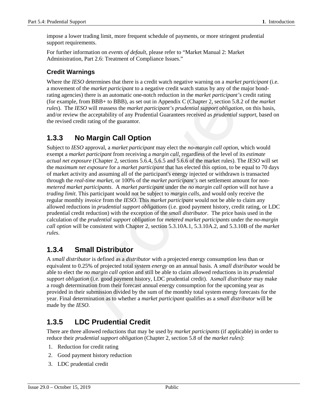impose a lower trading limit, more frequent schedule of payments, or more stringent prudential support requirements.

For further information on *events of default*, please refer to "Market Manual 2: Market Administration, Part 2.6: Treatment of Compliance Issues."

#### **Credit Warnings**

Where the *IESO* determines that there is a credit watch negative warning on a *market participant* (i.e. a movement of the *market participant* to a negative credit watch status by any of the major bondrating agencies) there is an automatic one-notch reduction in the *market participant's* credit rating (for example, from BBB+ to BBB), as set out in Appendix C (Chapter 2, section 5.8.2 of the *market rules*). The *IESO* will reassess the *market participant's prudential support obligation*, on this basis, and/or review the acceptability of any Prudential Guarantees received as *prudential support*, based on the revised credit rating of the guarantor.

#### **1.3.3 No Margin Call Option**

Subject to *IESO* approval, a *market participant* may elect the *no-margin call option*, which would exempt a *market participant* from receiving a *margin call*, regardless of the level of its *estimate actual net exposure* (Chapter 2, sections 5.6.4, 5.6.5 and 5.6.6 of the market rules). The *IESO* will set the *maximum net exposure* for a *market participant* that has elected this option, to be equal to 70 days of market activity and assuming all of the participant's energy injected or withdrawn is transacted through the *real-time market*, or 100% of the *market participant's* net settlement amount for non*metered market participants*. A *market participant* under the *no margin call option* will not have a *trading limit*. This participant would not be subject to *margin calls*, and would only receive the regular monthly *invoice* from the *IESO*. This *market participant* would not be able to claim any allowed reductions in *prudential support obligations* (i.e. good payment history, credit rating, or LDC prudential credit reduction) with the exception of the *small distributor*. The price basis used in the calculation of the *prudential support obligation* for *metered market participants* under the *no-margin call option* will be consistent with Chapter 2, section 5.3.10A.1, 5.3.10A.2, and 5.3.10B of the *market rules*. 1, from BBB+ to BBB), as set out in Appendix C (Chapter 2, section 5.8<br>
ESO will reassess the *market participant's prudential support obligatical*<br>
to the acceptability of any Prudential Guarantees received as *prudentia* 

#### **1.3.4 Small Distributor**

A *small distributor* is defined as a *distributor* with a projected energy consumption less than or equivalent to 0.25% of projected total system *energy* on an annual basis. A *small distributor* would be able to elect the *no margin call option* and still be able to claim allowed reductions in its *prudential support obligation* (i.e. good payment history, LDC prudential credit). A*small distributor* may make a rough determination from their forecast annual energy consumption for the upcoming year as provided in their submission divided by the sum of the monthly total system energy forecasts for the year. Final determination as to whether a *market participant* qualifies as a *small distributor* will be made by the *IESO*.

#### **1.3.5 LDC Prudential Credit**

There are three allowed reductions that may be used by *market participants* (if applicable) in order to reduce their *prudential support obligation* (Chapter 2, section 5.8 of the *market rules*):

- 1. Reduction for credit rating
- 2. Good payment history reduction
- 3. LDC prudential credit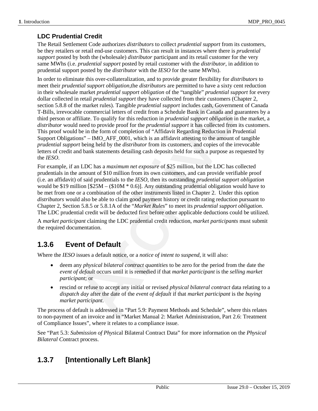#### **LDC Prudential Credit**

The Retail Settlement Code authorizes *distributors* to collect *prudential support* from its customers, be they retailers or retail end-use customers. This can result in instances where there is *prudential support* posted by both the (wholesale) *distributor* participant and its retail customer for the very same MWhs (i.e. *prudential support* posted by retail customer with the *distributor*, in addition to prudential support posted by the *distributor* with the *IESO* for the same MWhs).

In order to eliminate this over-collateralization*,* and to provide greater flexibility for *distributors* to meet their *prudential support obligation,*the *distributors* are permitted to have a sixty cent reduction in their wholesale market *prudential support obligation* of the "tangible" *prudential support* for every dollar collected in retail *prudential support* they have collected from their customers (Chapter 2, section 5.8.8 of the market rules). Tangible *prudential support* includes cash, Government of Canada T-Bills, irrevocable commercial letters of credit from a Schedule Bank in Canada and guarantees by a third person or affiliate. To qualify for this reduction in *prudential support obligation* in the market, a *distributor* would need to provide proof for the *prudential support* it has collected from its customers. This proof would be in the form of completion of "Affidavit Regarding Reduction in Prudential Support Obligations" – IMO\_AFF\_0001, which is an affidavit attesting to the amount of tangible *prudential support* being held by the *distributor* from its customers, and copies of the irrevocable letters of credit and bank statements detailing cash deposits held for such a purpose as requested by the *IESO*. n retail *prudential support* they have collected from their customes (CI)<br>he market rules). Tangible *prudential support* includes cash, Governme<br>ble commercial letters of credit from a Schedule Bank in Canada and gu<br>fit

For example, if an LDC has a *maximum net exposure* of \$25 million, but the LDC has collected prudentials in the amount of \$10 million from its own customers, and can provide verifiable proof (i.e. an affidavit) of said prudentials to the *IESO*, then its outstanding *prudential support obligation* would be \$19 million [\$25M – (\$10M \* 0.6)]. Any outstanding prudential obligation would have to be met from one or a combination of the other instruments listed in Chapter 2. Under this option *distributors* would also be able to claim good payment history or credit rating reduction pursuant to Chapter 2, Section 5.8.5 or 5.8.1A of the "*Market Rules*" to meet its *prudential support obligation*. The LDC prudential credit will be deducted first before other applicable deductions could be utilized.

A *market participant* claiming the LDC prudential credit reduction, *market participants* must submit the required documentation.

#### **1.3.6 Event of Default**

Where the *IESO* issues a default notice, or a *notice of intent to suspend*, it will also:

- deem any *physical bilateral contract quantities* to be zero for the period from the date the *event of default* occurs until it is remedied if that *market participant* is the *selling market participant*; or
- rescind or refuse to accept any initial or revised *physical bilateral contract* data relating to a *dispatch day* after the date of the *event of default* if that *market participant* is the *buying market participant.*

The process of default is addressed in "Part 5.9: Payment Methods and Schedule", where this relates to non-payment of an invoice and in "Market Manual 2: Market Administration, Part 2.6: Treatment of Compliance Issues", where it relates to a compliance issue.

See "Part 5.3: *Submission of Phys*ical Bilateral Contract Data" for more information on the *Phy*s*ical Bilateral C*ontract process.

#### **1.3.7 [Intentionally Left Blank]**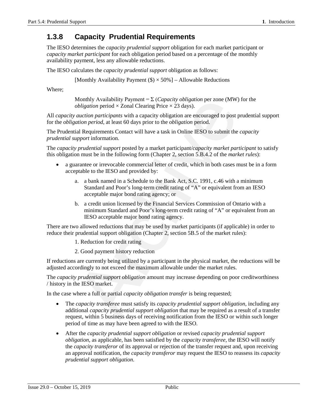#### **1.3.8 Capacity Prudential Requirements**

The IESO determines the *capacity prudential support* obligation for each market participant or *capacity market participant* for each obligation period based on a percentage of the monthly availability payment, less any allowable reductions.

The IESO calculates the *capacity prudential support* obligation as follows:

[Monthly Availability Payment  $(\$) \times 50\%$ ] – Allowable Reductions

Where;

Monthly Availability Payment =  $\Sigma$  (*Capacity obligation* per zone (MW) for the *obligation* period  $\times$  Zonal Clearing Price  $\times$  23 days).

All *capacity auction participants* with a capacity obligation are encouraged to post prudential support for the *obligation period*, at least 60 days prior to the *obligation* period.

The Prudential Requirements Contact will have a task in Online IESO to submit the *capacity prudential support* information.

The *capacity prudential support* posted by a market participant/*capacity market participant* to satisfy this obligation must be in the following form (Chapter 2, section 5.B.4.2 of the *market rules*):

- a guarantee or irrevocable commercial letter of credit, which in both cases must be in a form acceptable to the IESO and provided by:
	- a. a bank named in a Schedule to the Bank Act, S.C. 1991, c.46 with a minimum Standard and Poor's long-term credit rating of "A" or equivalent from an IESO acceptable major bond rating agency; or
	- b. a credit union licensed by the Financial Services Commission of Ontario with a minimum Standard and Poor's long-term credit rating of "A" or equivalent from an IESO acceptable major bond rating agency.

There are two allowed reductions that may be used by market participants (if applicable) in order to reduce their prudential support obligation (Chapter 2, section 5B.5 of the market rules):

- 1. Reduction for credit rating
- 2. Good payment history reduction

If reductions are currently being utilized by a participant in the physical market, the reductions will be adjusted accordingly to not exceed the maximum allowable under the market rules.

The *capacity prudential support obligation* amount may increase depending on poor creditworthiness / history in the IESO market.

In the case where a full or partial *capacity obligation transfer* is being requested;

- The *capacity transferee* must satisfy its *capacity prudential support obligation*, including any additional *capacity prudential support obligation* that may be required as a result of a transfer request, within 5 business days of receiving notification from the IESO or within such longer period of time as may have been agreed to with the IESO. Monthly Availability Payment =  $\Sigma$  (*Capacity obligation* per zone (MW)<br>bobligation period × Zonal Clearing Price × 23 days).<br> *auction participants* with a capacity obligation are encouraged to post *p*<br> *auction partic*
- After the *capacity prudential support obligation* or revised *capacity prudential support obligation*, as applicable, has been satisfied by the *capacity transferee*, the IESO will notify the *capacity transferor* of its approval or rejection of the transfer request and, upon receiving an approval notification, the *capacity transferor* may request the IESO to reassess its *capacity prudential support obligation*.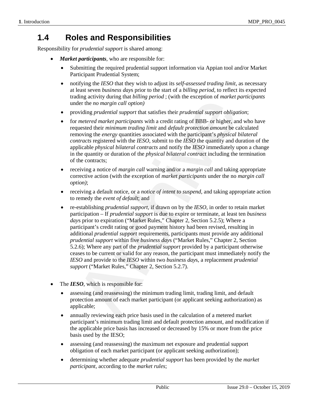#### **1.4 Roles and Responsibilities**

Responsibility for *prudential support* is shared among:

- *Market participants*, who are responsible for:
	- Submitting the required prudential support information via Appian tool and/or Market Participant Prudential System;
	- notifying the *IESO* that they wish to adjust its *self-assessed trading limit*, as necessary at least seven *business day*s prior to the start of a *billing period*, to reflect its expected trading activity during that *billing period* ; (with the exception of *market participants* under the *no margin call option)*
	- providing *prudential support* that satisfies their *prudential support obligation*;
	- for *metered market participants* with a credit rating of BBB- or higher, and who have requested their *minimum trading limit* and *default protection amount* be calculated removing the *energy* quantities associated with the participant's *physical bilateral contracts* registered with the *IESO*, submit to the *IESO* the quantity and duration of the applicable *physical bilateral contracts* and notify the *IESO* immediately upon a change in the quantity or duration of the *physical bilateral contract* including the termination of the contracts;
	- receiving a notice of *margin call* warning and/or a *margin call* and taking appropriate corrective action (with the exception of *market participants* under the no *margin call option)*;
	- receiving a default notice, or a *notice of intent to suspend*, and taking appropriate action to remedy the *event of default*; and
	- re-establishing *prudential support*, if drawn on by the *IESO*, in order to retain market participation – If *prudential support* is due to expire or terminate, at least ten *business day*s prior to expiration ("Market Rules," Chapter 2, Section 5.2.5); Where a participant's credit rating or good payment history had been revised, resulting in additional *prudential support* requirements, participants must provide any additional *prudential support* within five *business day*s ("Market Rules," Chapter 2, Section 5.2.6); Where any part of the *prudential support* provided by a participant otherwise ceases to be current or valid for any reason, the participant must immediately notify the *IESO* and provide to the *IESO* within two *business day*s, a replacement *prudential support* ("Market Rules," Chapter 2, Section 5.2.7). Early detainly detaining period, (what detached abrahay detain the momargin call option)<br>dig the the no margin call option) widing of BBB- or higher, and<br>metered market participants with a credit rating of BBB- or higher,
- The **IESO**, which is responsible for:
	- assessing (and reassessing) the minimum trading limit, trading limit, and default protection amount of each market participant (or applicant seeking authorization) as applicable;
	- annually reviewing each price basis used in the calculation of a metered market participant's minimum trading limit and default protection amount, and modification if the applicable price basis has increased or decreased by 15% or more from the price basis used by the IESO;
	- assessing (and reassessing) the maximum net exposure and prudential support obligation of each market participant (or applicant seeking authorization);
	- determining whether adequate *prudential support* has been provided by the *market participant*, according to the *market rules*;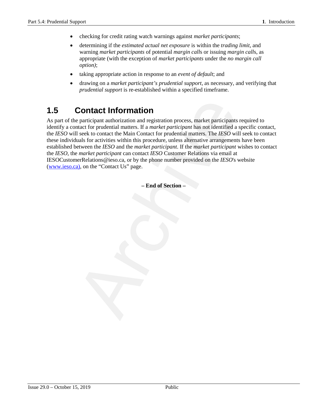- checking for credit rating watch warnings against *market participants*;
- determining if the *estimated actual net exposure* is within the *trading limit*, and warning *market participants* of potential *margin call*s or issuing *margin call*s, as appropriate (with the exception of *market participants* under the *no margin call option)*;
- taking appropriate action in response to an *event of default*; and
- drawing on a *market participant's prudential support*, as necessary, and verifying that *prudential support* is re-established within a specified timeframe.

#### **1.5 Contact Information**

As part of the participant authorization and registration process, market participants required to identify a contact for prudential matters. If a *market participant* has not identified a specific contact, the *IESO* will seek to contact the Main Contact for prudential matters. The *IESO* will seek to contact these individuals for activities within this procedure, unless alternative arrangements have been established between the *IESO* and the *market participant*. If the *market participant* wishes to contact the *IESO*, the *market participant* can contact *IESO* Customer Relations via email at IESOCustomerRelations@ieso.ca, or by the phone number provided on the *IESO*'s website [\(www.ieso.ca\),](http://www.theimo.com)/) on the "Contact Us" page. **Contact Information**<br>
e participant authorization and registration process, market participants<br>
that for prudential matters. If a *market participant* has not identified a 1<br>
seek to contact the Main Contact for prudent

**– End of Section –**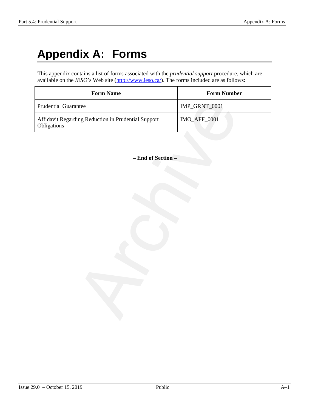# **Appendix A: Forms**

This appendix contains a list of forms associated with the *prudential support* procedure, which are available on the *IESO*'s Web site [\(http://www.ieso.ca/\)](http://www.theimo.com/). The forms included are as follows:

| <b>Form Name</b>                                                   | <b>Form Number</b> |  |
|--------------------------------------------------------------------|--------------------|--|
| <b>Prudential Guarantee</b>                                        | IMP_GRNT_0001      |  |
| Affidavit Regarding Reduction in Prudential Support<br>Obligations | IMO_AFF_0001       |  |
| - End of Section -                                                 |                    |  |
|                                                                    |                    |  |
|                                                                    |                    |  |
|                                                                    |                    |  |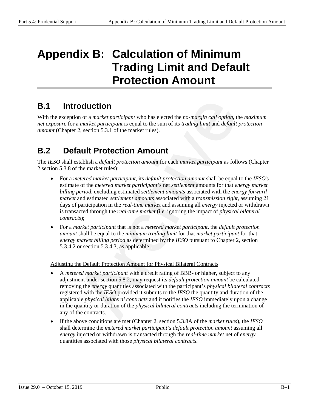# **Appendix B: Calculation of Minimum Trading Limit and Default Protection Amount**

#### **B.1 Introduction**

With the exception of a *market participant* who has elected the *no-margin call option*, the *maximum net exposure* for a *market participant* is equal to the sum of its *trading limit* and *default protection amount* (Chapter 2, section 5.3.1 of the market rules).

#### **B.2 Default Protection Amount**

The *IESO* shall establish a *default protection amount* for each *market participant* as follows (Chapter 2 section 5.3.8 of the market rules):

- For a *metered market participant*, its *default protection amount* shall be equal to the *IESO*'s estimate of the *metered market participant'*s net *settlement* amounts for that *energy market billing period*, excluding estimated *settlement amounts* associated with the *energy forward market* and estimated *settlement amounts* associated with a *transmission right*, assuming 21 days of participation in the *real-time market* and assuming all *energy* injected or withdrawn is transacted through the *real-time market* (i.e. ignoring the impact of *physical bilateral contracts*); **COLUCTION**<br> **COLUCTION**<br> **COLUCTION**<br> **COLUCTION**<br> **COLUCTION**<br> **COLUCTION**<br> **COLUCTION**<br> **COLUCTION**<br> **COLUCTION**<br> **COLUCTION**<br> **COLUCTION**<br> **COLUCTION**<br> **COLUCTION**<br> **COLUCTION**<br> **COLUCTION**<br> **COLUCTION**<br> **COLUCTION**<br>
- For a *market participant* that is not a *metered market participant*, the *default protection amount* shall be equal to the *minimum trading limit* for that *market participant* for that *energy market billing period* as determined by the *IESO* pursuant to Chapter 2, section 5.3.4.2 or section 5.3.4.3, as applicable..

Adjusting the Default Protection Amount for Physical Bilateral Contracts

- A *metered market participant* with a credit rating of BBB- or higher, subject to any adjustment under section 5.8.2, may request its *default protection amount* be calculated removing the *energy* quantities associated with the participant's *physical bilateral contracts* registered with the *IESO* provided it submits to the *IESO* the quantity and duration of the applicable *physical bilateral contracts* and it notifies the *IESO* immediately upon a change in the quantity or duration of the *physical bilateral contracts* including the termination of any of the contracts.
- If the above conditions are met (Chapter 2, section 5.3.8A of the *market rules*), the *IESO* shall determine the *metered market participant's default protection amount* assuming all *energy* injected or withdrawn is transacted through the *real-time market* net of *energy*  quantities associated with those *physical bilateral contracts*.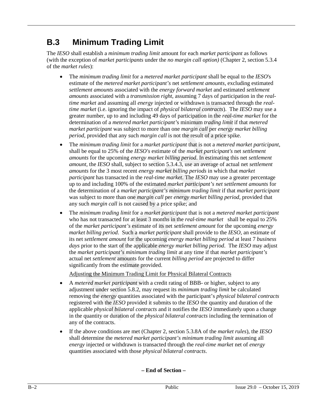#### **B.3 Minimum Trading Limit**

The *IESO* shall establish a *minimum trading limit* amount for each *market participant* as follows (with the exception of *market participants* under the *no margin call option)* (Chapter 2, section 5.3.4 of the *market rules*):

- The *minimum trading limit* for a *metered market participant* shall be equal to the *IESO*'s estimate of the *metered market participant's* net *settlement amounts*, excluding estimated *settlement amounts* associated with the *energy forward market* and estimated *settlement amounts* associated with a *transmission right*, assuming 7 days of participation in the *realtime market* and assuming all *energy* injected or withdrawn is transacted through the *realtime market* (i.e. ignoring the impact of *physical bilateral contracts*). The *IESO* may use a greater number, up to and including 49 days of participation in the *real-time market* for the determination of a *metered market participant'*s minimum *trading limit* if that *metered market participant* was subject to more than one *margin call* per *energy market billing period*, provided that any such *margin call* is not the result of a price spike.
- The *minimum trading limit* for a *market participant* that is not a *metered market participant*, shall be equal to 25% of the *IESO's* estimate of the *market participant's* net *settlement amounts* for the upcoming *energy market billing period*. In estimating this net *settlement amount*, the *IESO* shall, subject to section 5.3.4.3, use an average of actual net *settlement amounts* for the 3 most recent *energy market billing periods* in which that *market participant* has transacted in the *real-time market*. The *IESO* may use a greater percentage up to and including 100% of the estimated *market participant's net settlement amounts* for the determination of a *market participant's minimum trading limit* if that *market participant* was subject to more than one *margin call* per *energy market billing period,* provided that any such *margin call* is not caused by a price spike; and *le market* and assuming all *energy* injected or withdrawn is transacted the *market* and assuming all *energy* injected or withdrawn is transacted the *market* (i.e. ignoring the impact of *physical bitateral contracts)*
- The *minimum trading limit* for a *market participant* that is not a *metered market participant* who has not transacted for at least 3 months in the *real-time market* shall be equal to 25% of the *market participant's* estimate of its net *settlement amount* for the upcoming *energy market billing period*. Such a *market participant* shall provide to the *IESO*, an estimate of its net *settlement amount* for the upcoming *energy market billing period* at least 7 *business days* prior to the start of the applicable *energy market billing period*. The *IESO* may adjust the *market participant's minimum trading limit* at any time if that *market participant's* actual net *settlement* amounts for the current *billing period* are projected to differ significantly from the estimate provided.

Adjusting the Minimum Trading Limit for Physical Bilateral Contracts

- A *metered market participant* with a credit rating of BBB- or higher, subject to any adjustment under section 5.8.2, may request its *minimum trading limit* be calculated removing the *energy* quantities associated with the participant's *physical bilateral contracts* registered with the *IESO* provided it submits to the *IESO* the quantity and duration of the applicable *physical bilateral contracts* and it notifies the *IESO* immediately upon a change in the quantity or duration of the *physical bilateral contracts* including the termination of any of the contracts.
- If the above conditions are met (Chapter 2, section 5.3.8A of the *market rules*), the *IESO* shall determine the *metered market participant's minimum trading limit* assuming all *energy* injected or withdrawn is transacted through the *real-time market* net of *energy*  quantities associated with those *physical bilateral contracts*.

**– End of Section –**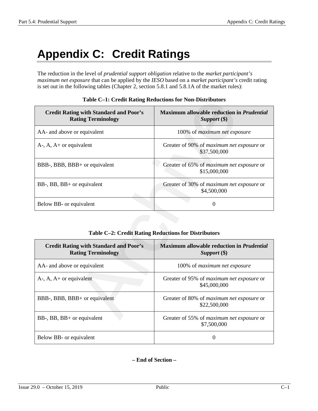# **Appendix C: Credit Ratings**

The reduction in the level of *prudential support obligation* relative to the *market participant's maximum net exposure* that can be applied by the *IESO* based on a *market participant's* credit rating is set out in the following tables (Chapter 2, section 5.8.1 and 5.8.1A of the market rules):

| Table C–1: Credit Rating Reductions for Non-Distributors                   |                                                             |  |
|----------------------------------------------------------------------------|-------------------------------------------------------------|--|
| <b>Credit Rating with Standard and Poor's</b><br><b>Rating Terminology</b> | Maximum allowable reduction in Prudential<br>Support $(\$)$ |  |
| AA- and above or equivalent                                                | 100% of maximum net exposure                                |  |
| $A$ -, $A$ , $A$ + or equivalent                                           | Greater of 90% of maximum net exposure or<br>\$37,500,000   |  |
| BBB-, BBB, BBB+ or equivalent                                              | Greater of 65% of maximum net exposure or<br>\$15,000,000   |  |
| BB-, BB, BB+ or equivalent                                                 | Greater of 30% of maximum net exposure or<br>\$4,500,000    |  |
| Below BB- or equivalent                                                    | $\boldsymbol{0}$                                            |  |
|                                                                            | Table C-2: Credit Rating Reductions for Distributors        |  |
| <b>Credit Rating with Standard and Poor's</b><br><b>Rating Terminology</b> | Maximum allowable reduction in Prudential<br>Support $(\$)$ |  |
| AA- and above or equivalent                                                | 100% of maximum net exposure                                |  |
| $A$ -, $A$ , $A$ + or equivalent                                           | Greater of 95% of maximum net exposure or<br>\$45,000,000   |  |
| BBB-, BBB, BBB+ or equivalent                                              | Greater of 80% of maximum net exposure or<br>\$22,500,000   |  |
| BB-, BB, BB+ or equivalent                                                 | Greater of 55% of maximum net exposure or                   |  |

|  |  |  | Table C-1: Credit Rating Reductions for Non-Distributors |
|--|--|--|----------------------------------------------------------|
|--|--|--|----------------------------------------------------------|

#### **Table C–2: Credit Rating Reductions for Distributors**

| <b>Credit Rating with Standard and Poor's</b><br><b>Rating Terminology</b> | <b>Maximum allowable reduction in Prudential</b><br>Support (\$) |
|----------------------------------------------------------------------------|------------------------------------------------------------------|
| AA- and above or equivalent                                                | 100% of <i>maximum</i> net exposure                              |
| $A-$ , $A$ , $A+$ or equivalent                                            | Greater of 95% of <i>maximum net exposure</i> or<br>\$45,000,000 |
| BBB-, BBB, BBB+ or equivalent                                              | Greater of 80% of <i>maximum net exposure</i> or<br>\$22,500,000 |
| $BB-, BB, BB+$ or equivalent                                               | Greater of 55% of <i>maximum net exposure</i> or<br>\$7,500,000  |
| Below BB- or equivalent                                                    | $\theta$                                                         |

**– End of Section –**